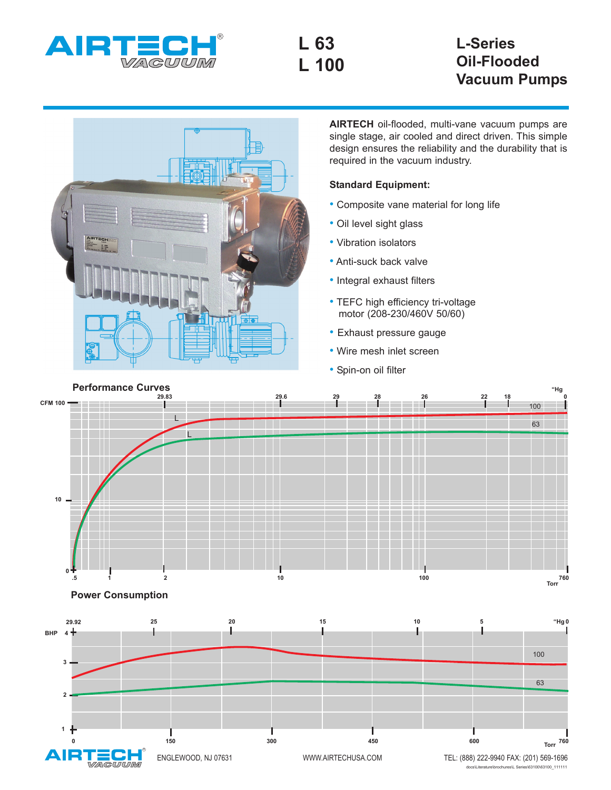

**L 63 L 100**

## **L-Series Oil-Flooded Vacuum Pumps**



**AIRTECH** oil-flooded, multi-vane vacuum pumps are single stage, air cooled and direct driven. This simple design ensures the reliability and the durability that is required in the vacuum industry.

## **Standard Equipment:**

- Composite vane material for long life
- Oil level sight glass
- Vibration isolators
- Anti-suck back valve
- Integral exhaust filters
- TEFC high efficiency tri-voltage motor (208-230/460V 50/60)
- Exhaust pressure gauge
- Wire mesh inlet screen
- Spin-on oil filter



**Power Consumption**